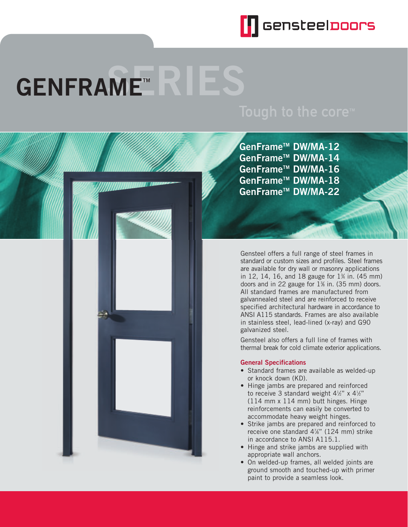

# **GENFRAME™**



Gensteel offers a full range of steel frames in standard or custom sizes and profiles. Steel frames are available for dry wall or masonry applications in 12, 14, 16, and 18 gauge for  $1\%$  in. (45 mm) doors and in 22 gauge for 1<sup>3</sup>% in. (35 mm) doors. All standard frames are manufactured from galvannealed steel and are reinforced to receive specified architectural hardware in accordance to ANSI A115 standards. Frames are also available in stainless steel, lead-lined (x-ray) and G90 galvanized steel.

Gensteel also offers a full line of frames with thermal break for cold climate exterior applications.

## **General Specifications**

- Standard frames are available as welded-up or knock down (KD).
- Hinge jambs are prepared and reinforced to receive 3 standard weight 4½" x 4½" (114 mm x 114 mm) butt hinges. Hinge reinforcements can easily be converted to accommodate heavy weight hinges.
- Strike jambs are prepared and reinforced to receive one standard 47 ⁄8" (124 mm) strike in accordance to ANSI A115.1.
- Hinge and strike jambs are supplied with appropriate wall anchors.
- On welded-up frames, all welded joints are ground smooth and touched-up with primer paint to provide a seamless look.